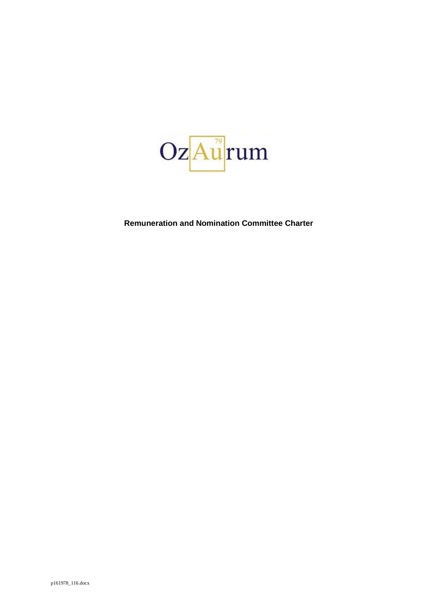

**Remuneration and Nomination Committee Charter**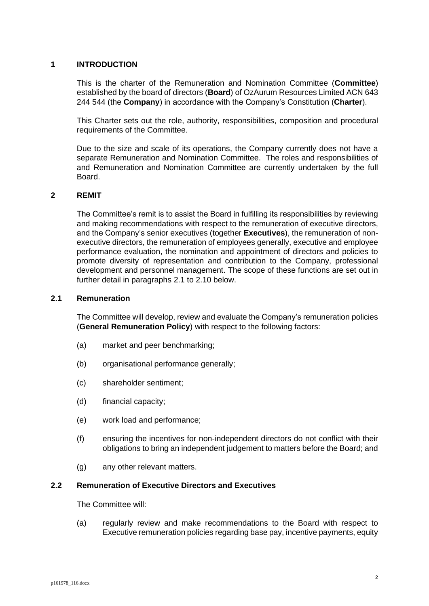## **1 INTRODUCTION**

This is the charter of the Remuneration and Nomination Committee (**Committee**) established by the board of directors (**Board**) of OzAurum Resources Limited ACN 643 244 544 (the **Company**) in accordance with the Company's Constitution (**Charter**).

This Charter sets out the role, authority, responsibilities, composition and procedural requirements of the Committee.

Due to the size and scale of its operations, the Company currently does not have a separate Remuneration and Nomination Committee. The roles and responsibilities of and Remuneration and Nomination Committee are currently undertaken by the full Board.

# **2 REMIT**

The Committee's remit is to assist the Board in fulfilling its responsibilities by reviewing and making recommendations with respect to the remuneration of executive directors, and the Company's senior executives (together **Executives**), the remuneration of nonexecutive directors, the remuneration of employees generally, executive and employee performance evaluation, the nomination and appointment of directors and policies to promote diversity of representation and contribution to the Company, professional development and personnel management. The scope of these functions are set out in further detail in paragraphs [2.1](#page-1-0) to [2.10](#page-4-0) below.

### <span id="page-1-0"></span>**2.1 Remuneration**

The Committee will develop, review and evaluate the Company's remuneration policies (**General Remuneration Policy**) with respect to the following factors:

- (a) market and peer benchmarking;
- (b) organisational performance generally;
- (c) shareholder sentiment;
- (d) financial capacity;
- (e) work load and performance;
- (f) ensuring the incentives for non-independent directors do not conflict with their obligations to bring an independent judgement to matters before the Board; and
- (g) any other relevant matters.

## **2.2 Remuneration of Executive Directors and Executives**

The Committee will:

(a) regularly review and make recommendations to the Board with respect to Executive remuneration policies regarding base pay, incentive payments, equity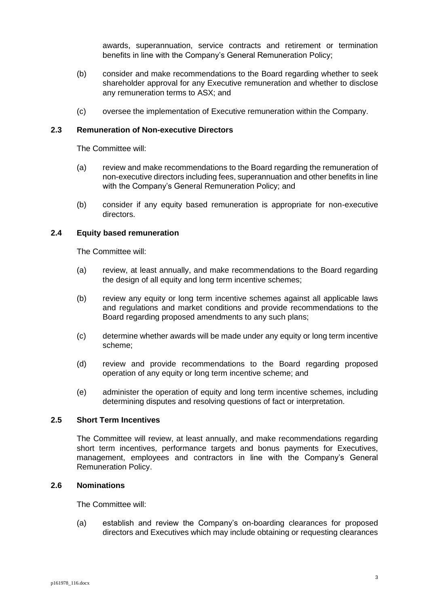awards, superannuation, service contracts and retirement or termination benefits in line with the Company's General Remuneration Policy;

- (b) consider and make recommendations to the Board regarding whether to seek shareholder approval for any Executive remuneration and whether to disclose any remuneration terms to ASX; and
- (c) oversee the implementation of Executive remuneration within the Company.

### **2.3 Remuneration of Non-executive Directors**

The Committee will:

- (a) review and make recommendations to the Board regarding the remuneration of non-executive directors including fees, superannuation and other benefits in line with the Company's General Remuneration Policy; and
- (b) consider if any equity based remuneration is appropriate for non-executive directors.

## **2.4 Equity based remuneration**

The Committee will:

- (a) review, at least annually, and make recommendations to the Board regarding the design of all equity and long term incentive schemes;
- (b) review any equity or long term incentive schemes against all applicable laws and regulations and market conditions and provide recommendations to the Board regarding proposed amendments to any such plans;
- (c) determine whether awards will be made under any equity or long term incentive scheme;
- (d) review and provide recommendations to the Board regarding proposed operation of any equity or long term incentive scheme; and
- (e) administer the operation of equity and long term incentive schemes, including determining disputes and resolving questions of fact or interpretation.

#### **2.5 Short Term Incentives**

The Committee will review, at least annually, and make recommendations regarding short term incentives, performance targets and bonus payments for Executives, management, employees and contractors in line with the Company's General Remuneration Policy.

## **2.6 Nominations**

The Committee will:

(a) establish and review the Company's on-boarding clearances for proposed directors and Executives which may include obtaining or requesting clearances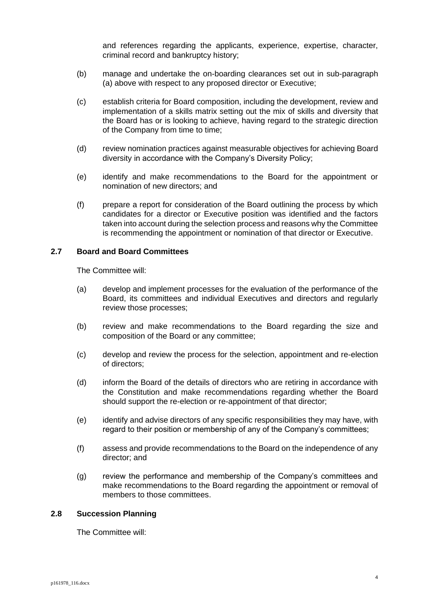and references regarding the applicants, experience, expertise, character, criminal record and bankruptcy history;

- (b) manage and undertake the on-boarding clearances set out in sub-paragraph (a) above with respect to any proposed director or Executive;
- (c) establish criteria for Board composition, including the development, review and implementation of a skills matrix setting out the mix of skills and diversity that the Board has or is looking to achieve, having regard to the strategic direction of the Company from time to time;
- (d) review nomination practices against measurable objectives for achieving Board diversity in accordance with the Company's Diversity Policy;
- (e) identify and make recommendations to the Board for the appointment or nomination of new directors; and
- (f) prepare a report for consideration of the Board outlining the process by which candidates for a director or Executive position was identified and the factors taken into account during the selection process and reasons why the Committee is recommending the appointment or nomination of that director or Executive.

# **2.7 Board and Board Committees**

The Committee will:

- (a) develop and implement processes for the evaluation of the performance of the Board, its committees and individual Executives and directors and regularly review those processes;
- (b) review and make recommendations to the Board regarding the size and composition of the Board or any committee;
- (c) develop and review the process for the selection, appointment and re-election of directors;
- (d) inform the Board of the details of directors who are retiring in accordance with the Constitution and make recommendations regarding whether the Board should support the re-election or re-appointment of that director;
- (e) identify and advise directors of any specific responsibilities they may have, with regard to their position or membership of any of the Company's committees;
- (f) assess and provide recommendations to the Board on the independence of any director; and
- (g) review the performance and membership of the Company's committees and make recommendations to the Board regarding the appointment or removal of members to those committees.

### **2.8 Succession Planning**

The Committee will: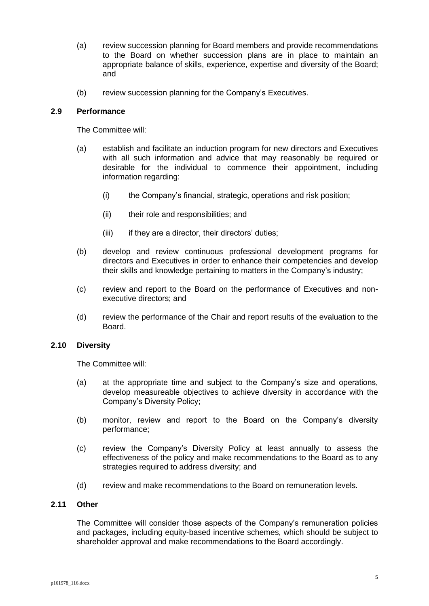- (a) review succession planning for Board members and provide recommendations to the Board on whether succession plans are in place to maintain an appropriate balance of skills, experience, expertise and diversity of the Board; and
- (b) review succession planning for the Company's Executives.

## **2.9 Performance**

The Committee will:

- (a) establish and facilitate an induction program for new directors and Executives with all such information and advice that may reasonably be required or desirable for the individual to commence their appointment, including information regarding:
	- (i) the Company's financial, strategic, operations and risk position;
	- (ii) their role and responsibilities; and
	- (iii) if they are a director, their directors' duties;
- (b) develop and review continuous professional development programs for directors and Executives in order to enhance their competencies and develop their skills and knowledge pertaining to matters in the Company's industry;
- (c) review and report to the Board on the performance of Executives and nonexecutive directors; and
- (d) review the performance of the Chair and report results of the evaluation to the Board.

### <span id="page-4-0"></span>**2.10 Diversity**

The Committee will:

- (a) at the appropriate time and subject to the Company's size and operations, develop measureable objectives to achieve diversity in accordance with the Company's Diversity Policy;
- (b) monitor, review and report to the Board on the Company's diversity performance;
- (c) review the Company's Diversity Policy at least annually to assess the effectiveness of the policy and make recommendations to the Board as to any strategies required to address diversity; and
- (d) review and make recommendations to the Board on remuneration levels.

# **2.11 Other**

The Committee will consider those aspects of the Company's remuneration policies and packages, including equity-based incentive schemes, which should be subject to shareholder approval and make recommendations to the Board accordingly.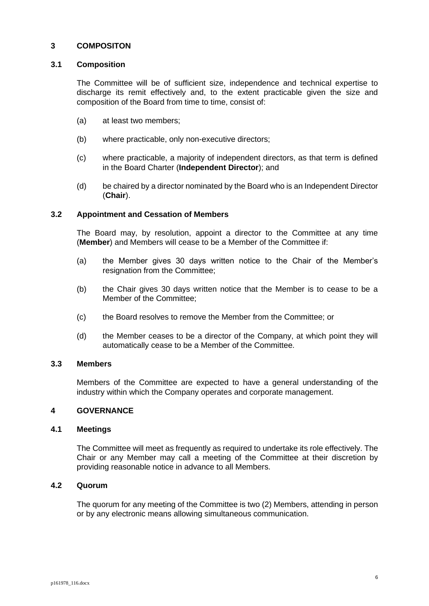## **3 COMPOSITON**

### **3.1 Composition**

The Committee will be of sufficient size, independence and technical expertise to discharge its remit effectively and, to the extent practicable given the size and composition of the Board from time to time, consist of:

- (a) at least two members;
- (b) where practicable, only non-executive directors;
- (c) where practicable, a majority of independent directors, as that term is defined in the Board Charter (**Independent Director**); and
- (d) be chaired by a director nominated by the Board who is an Independent Director (**Chair**).

## **3.2 Appointment and Cessation of Members**

The Board may, by resolution, appoint a director to the Committee at any time (**Member**) and Members will cease to be a Member of the Committee if:

- (a) the Member gives 30 days written notice to the Chair of the Member's resignation from the Committee;
- (b) the Chair gives 30 days written notice that the Member is to cease to be a Member of the Committee;
- (c) the Board resolves to remove the Member from the Committee; or
- (d) the Member ceases to be a director of the Company, at which point they will automatically cease to be a Member of the Committee.

#### **3.3 Members**

Members of the Committee are expected to have a general understanding of the industry within which the Company operates and corporate management.

#### **4 GOVERNANCE**

## **4.1 Meetings**

The Committee will meet as frequently as required to undertake its role effectively. The Chair or any Member may call a meeting of the Committee at their discretion by providing reasonable notice in advance to all Members.

# **4.2 Quorum**

The quorum for any meeting of the Committee is two (2) Members, attending in person or by any electronic means allowing simultaneous communication.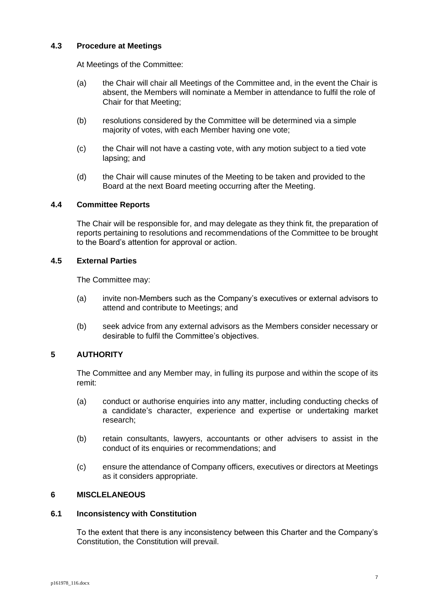# **4.3 Procedure at Meetings**

At Meetings of the Committee:

- (a) the Chair will chair all Meetings of the Committee and, in the event the Chair is absent, the Members will nominate a Member in attendance to fulfil the role of Chair for that Meeting;
- (b) resolutions considered by the Committee will be determined via a simple majority of votes, with each Member having one vote;
- (c) the Chair will not have a casting vote, with any motion subject to a tied vote lapsing; and
- (d) the Chair will cause minutes of the Meeting to be taken and provided to the Board at the next Board meeting occurring after the Meeting.

# **4.4 Committee Reports**

The Chair will be responsible for, and may delegate as they think fit, the preparation of reports pertaining to resolutions and recommendations of the Committee to be brought to the Board's attention for approval or action.

# **4.5 External Parties**

The Committee may:

- (a) invite non-Members such as the Company's executives or external advisors to attend and contribute to Meetings; and
- (b) seek advice from any external advisors as the Members consider necessary or desirable to fulfil the Committee's objectives.

# **5 AUTHORITY**

The Committee and any Member may, in fulling its purpose and within the scope of its remit:

- (a) conduct or authorise enquiries into any matter, including conducting checks of a candidate's character, experience and expertise or undertaking market research;
- (b) retain consultants, lawyers, accountants or other advisers to assist in the conduct of its enquiries or recommendations; and
- (c) ensure the attendance of Company officers, executives or directors at Meetings as it considers appropriate.

## **6 MISCLELANEOUS**

## **6.1 Inconsistency with Constitution**

To the extent that there is any inconsistency between this Charter and the Company's Constitution, the Constitution will prevail.